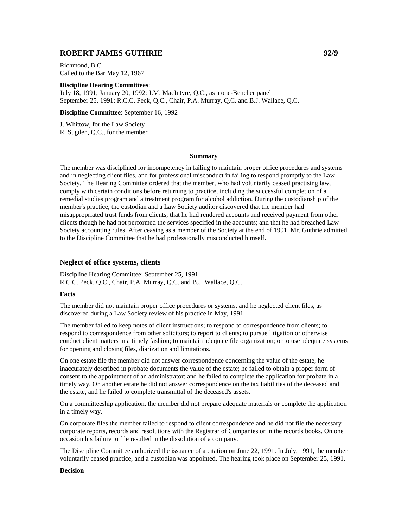# **ROBERT JAMES GUTHRIE 92/9**

Richmond, B.C. Called to the Bar May 12, 1967

#### **Discipline Hearing Committees**:

July 18, 1991; January 20, 1992: J.M. MacIntyre, Q.C., as a one-Bencher panel September 25, 1991: R.C.C. Peck, Q.C., Chair, P.A. Murray, Q.C. and B.J. Wallace, Q.C.

**Discipline Committee**: September 16, 1992

J. Whittow, for the Law Society R. Sugden, Q.C., for the member

#### **Summary**

The member was disciplined for incompetency in failing to maintain proper office procedures and systems and in neglecting client files, and for professional misconduct in failing to respond promptly to the Law Society. The Hearing Committee ordered that the member, who had voluntarily ceased practising law, comply with certain conditions before returning to practice, including the successful completion of a remedial studies program and a treatment program for alcohol addiction. During the custodianship of the member's practice, the custodian and a Law Society auditor discovered that the member had misappropriated trust funds from clients; that he had rendered accounts and received payment from other clients though he had not performed the services specified in the accounts; and that he had breached Law Society accounting rules. After ceasing as a member of the Society at the end of 1991, Mr. Guthrie admitted to the Discipline Committee that he had professionally misconducted himself.

### **Neglect of office systems, clients**

Discipline Hearing Committee: September 25, 1991 R.C.C. Peck, Q.C., Chair, P.A. Murray, Q.C. and B.J. Wallace, Q.C.

#### **Facts**

The member did not maintain proper office procedures or systems, and he neglected client files, as discovered during a Law Society review of his practice in May, 1991.

The member failed to keep notes of client instructions; to respond to correspondence from clients; to respond to correspondence from other solicitors; to report to clients; to pursue litigation or otherwise conduct client matters in a timely fashion; to maintain adequate file organization; or to use adequate systems for opening and closing files, diarization and limitations.

On one estate file the member did not answer correspondence concerning the value of the estate; he inaccurately described in probate documents the value of the estate; he failed to obtain a proper form of consent to the appointment of an administrator; and he failed to complete the application for probate in a timely way. On another estate he did not answer correspondence on the tax liabilities of the deceased and the estate, and he failed to complete transmittal of the deceased's assets.

On a committeeship application, the member did not prepare adequate materials or complete the application in a timely way.

On corporate files the member failed to respond to client correspondence and he did not file the necessary corporate reports, records and resolutions with the Registrar of Companies or in the records books. On one occasion his failure to file resulted in the dissolution of a company.

The Discipline Committee authorized the issuance of a citation on June 22, 1991. In July, 1991, the member voluntarily ceased practice, and a custodian was appointed. The hearing took place on September 25, 1991.

#### **Decision**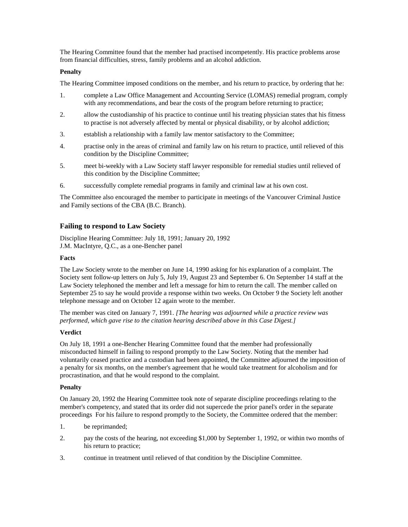The Hearing Committee found that the member had practised incompetently. His practice problems arose from financial difficulties, stress, family problems and an alcohol addiction.

## **Penalty**

The Hearing Committee imposed conditions on the member, and his return to practice, by ordering that he:

- 1. complete a Law Office Management and Accounting Service (LOMAS) remedial program, comply with any recommendations, and bear the costs of the program before returning to practice;
- 2. allow the custodianship of his practice to continue until his treating physician states that his fitness to practise is not adversely affected by mental or physical disability, or by alcohol addiction;
- 3. establish a relationship with a family law mentor satisfactory to the Committee;
- 4. practise only in the areas of criminal and family law on his return to practice, until relieved of this condition by the Discipline Committee;
- 5. meet bi-weekly with a Law Society staff lawyer responsible for remedial studies until relieved of this condition by the Discipline Committee;
- 6. successfully complete remedial programs in family and criminal law at his own cost.

The Committee also encouraged the member to participate in meetings of the Vancouver Criminal Justice and Family sections of the CBA (B.C. Branch).

# **Failing to respond to Law Society**

Discipline Hearing Committee: July 18, 1991; January 20, 1992 J.M. MacIntyre, Q.C., as a one-Bencher panel

### **Facts**

The Law Society wrote to the member on June 14, 1990 asking for his explanation of a complaint. The Society sent follow-up letters on July 5, July 19, August 23 and September 6. On September 14 staff at the Law Society telephoned the member and left a message for him to return the call. The member called on September 25 to say he would provide a response within two weeks. On October 9 the Society left another telephone message and on October 12 again wrote to the member.

The member was cited on January 7, 1991. *[The hearing was adjourned while a practice review was performed, which gave rise to the citation hearing described above in this Case Digest.]*

## **Verdict**

On July 18, 1991 a one-Bencher Hearing Committee found that the member had professionally misconducted himself in failing to respond promptly to the Law Society. Noting that the member had voluntarily ceased practice and a custodian had been appointed, the Committee adjourned the imposition of a penalty for six months, on the member's agreement that he would take treatment for alcoholism and for procrastination, and that he would respond to the complaint.

## **Penalty**

On January 20, 1992 the Hearing Committee took note of separate discipline proceedings relating to the member's competency, and stated that its order did not supercede the prior panel's order in the separate proceedings For his failure to respond promptly to the Society, the Committee ordered that the member:

- 1. be reprimanded;
- 2. pay the costs of the hearing, not exceeding \$1,000 by September 1, 1992, or within two months of his return to practice;
- 3. continue in treatment until relieved of that condition by the Discipline Committee.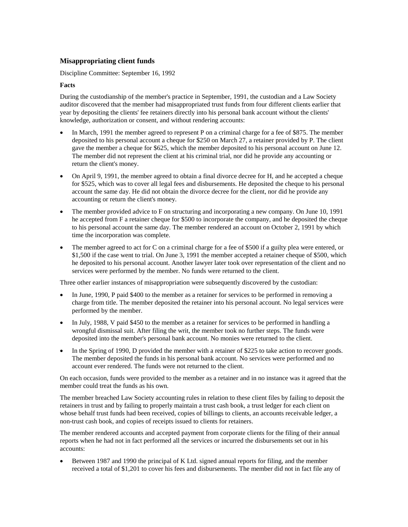# **Misappropriating client funds**

Discipline Committee: September 16, 1992

### **Facts**

During the custodianship of the member's practice in September, 1991, the custodian and a Law Society auditor discovered that the member had misappropriated trust funds from four different clients earlier that year by depositing the clients' fee retainers directly into his personal bank account without the clients' knowledge, authorization or consent, and without rendering accounts:

- In March, 1991 the member agreed to represent P on a criminal charge for a fee of \$875. The member deposited to his personal account a cheque for \$250 on March 27, a retainer provided by P. The client gave the member a cheque for \$625, which the member deposited to his personal account on June 12. The member did not represent the client at his criminal trial, nor did he provide any accounting or return the client's money.
- On April 9, 1991, the member agreed to obtain a final divorce decree for H, and he accepted a cheque for \$525, which was to cover all legal fees and disbursements. He deposited the cheque to his personal account the same day. He did not obtain the divorce decree for the client, nor did he provide any accounting or return the client's money.
- The member provided advice to F on structuring and incorporating a new company. On June 10, 1991 he accepted from F a retainer cheque for \$500 to incorporate the company, and he deposited the cheque to his personal account the same day. The member rendered an account on October 2, 1991 by which time the incorporation was complete.
- The member agreed to act for C on a criminal charge for a fee of \$500 if a guilty plea were entered, or \$1,500 if the case went to trial. On June 3, 1991 the member accepted a retainer cheque of \$500, which he deposited to his personal account. Another lawyer later took over representation of the client and no services were performed by the member. No funds were returned to the client.

Three other earlier instances of misappropriation were subsequently discovered by the custodian:

- In June, 1990, P paid \$400 to the member as a retainer for services to be performed in removing a charge from title. The member deposited the retainer into his personal account. No legal services were performed by the member.
- In July, 1988, V paid \$450 to the member as a retainer for services to be performed in handling a wrongful dismissal suit. After filing the writ, the member took no further steps. The funds were deposited into the member's personal bank account. No monies were returned to the client.
- In the Spring of 1990, D provided the member with a retainer of \$225 to take action to recover goods. The member deposited the funds in his personal bank account. No services were performed and no account ever rendered. The funds were not returned to the client.

On each occasion, funds were provided to the member as a retainer and in no instance was it agreed that the member could treat the funds as his own.

The member breached Law Society accounting rules in relation to these client files by failing to deposit the retainers in trust and by failing to properly maintain a trust cash book, a trust ledger for each client on whose behalf trust funds had been received, copies of billings to clients, an accounts receivable ledger, a non-trust cash book, and copies of receipts issued to clients for retainers.

The member rendered accounts and accepted payment from corporate clients for the filing of their annual reports when he had not in fact performed all the services or incurred the disbursements set out in his accounts:

• Between 1987 and 1990 the principal of K Ltd. signed annual reports for filing, and the member received a total of \$1,201 to cover his fees and disbursements. The member did not in fact file any of